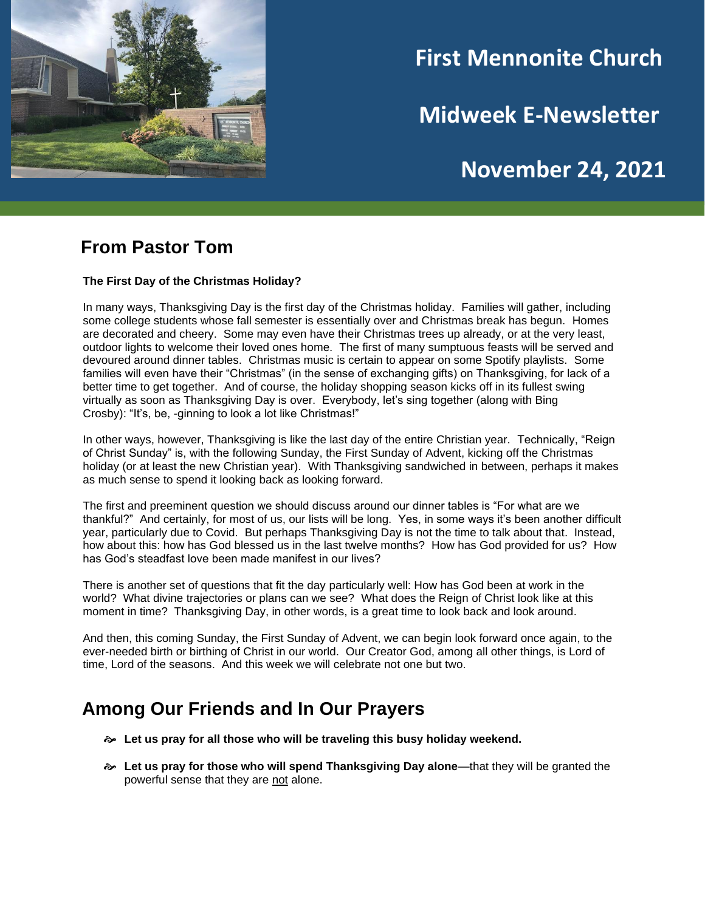

# **First Mennonite Church**

**Midweek E-Newsletter**

## **November 24, 2021**

#### **From Pastor Tom**

#### **The First Day of the Christmas Holiday?**

In many ways, Thanksgiving Day is the first day of the Christmas holiday. Families will gather, including some college students whose fall semester is essentially over and Christmas break has begun. Homes are decorated and cheery. Some may even have their Christmas trees up already, or at the very least, outdoor lights to welcome their loved ones home. The first of many sumptuous feasts will be served and devoured around dinner tables. Christmas music is certain to appear on some Spotify playlists. Some families will even have their "Christmas" (in the sense of exchanging gifts) on Thanksgiving, for lack of a better time to get together. And of course, the holiday shopping season kicks off in its fullest swing virtually as soon as Thanksgiving Day is over. Everybody, let's sing together (along with Bing Crosby): "It's, be, -ginning to look a lot like Christmas!"

In other ways, however, Thanksgiving is like the last day of the entire Christian year. Technically, "Reign of Christ Sunday" is, with the following Sunday, the First Sunday of Advent, kicking off the Christmas holiday (or at least the new Christian year). With Thanksgiving sandwiched in between, perhaps it makes as much sense to spend it looking back as looking forward.

The first and preeminent question we should discuss around our dinner tables is "For what are we thankful?" And certainly, for most of us, our lists will be long. Yes, in some ways it's been another difficult year, particularly due to Covid. But perhaps Thanksgiving Day is not the time to talk about that. Instead, how about this: how has God blessed us in the last twelve months? How has God provided for us? How has God's steadfast love been made manifest in our lives?

There is another set of questions that fit the day particularly well: How has God been at work in the world? What divine trajectories or plans can we see? What does the Reign of Christ look like at this moment in time? Thanksgiving Day, in other words, is a great time to look back and look around.

And then, this coming Sunday, the First Sunday of Advent, we can begin look forward once again, to the ever-needed birth or birthing of Christ in our world. Our Creator God, among all other things, is Lord of time, Lord of the seasons. And this week we will celebrate not one but two.

### **Among Our Friends and In Our Prayers**

- **Let us pray for all those who will be traveling this busy holiday weekend.**
- **Let us pray for those who will spend Thanksgiving Day alone**—that they will be granted the powerful sense that they are not alone.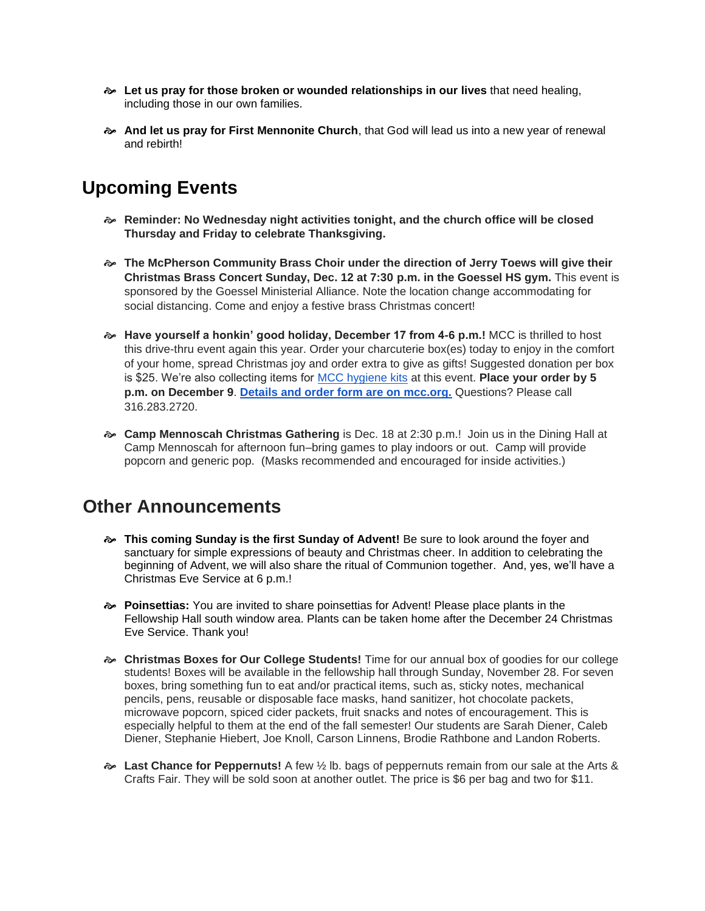- **Let us pray for those broken or wounded relationships in our lives** that need healing, including those in our own families.
- **And let us pray for First Mennonite Church**, that God will lead us into a new year of renewal and rebirth!

#### **Upcoming Events**

- **Reminder: No Wednesday night activities tonight, and the church office will be closed Thursday and Friday to celebrate Thanksgiving.**
- **The McPherson Community Brass Choir under the direction of Jerry Toews will give their Christmas Brass Concert Sunday, Dec. 12 at 7:30 p.m. in the Goessel HS gym.** This event is sponsored by the Goessel Ministerial Alliance. Note the location change accommodating for social distancing. Come and enjoy a festive brass Christmas concert!
- **Have yourself a honkin' good holiday, December 17 from 4-6 p.m.!** MCC is thrilled to host this drive-thru event again this year. Order your charcuterie box(es) today to enjoy in the comfort of your home, spread Christmas joy and order extra to give as gifts! Suggested donation per box is \$25. We're also collecting items for [MCC hygiene kits](https://mcc.org/get-involved/kits/hygiene) at this event. **Place your order by 5 p.m. on December 9**. **[Details and order form are on mcc.org.](https://mcc.org/get-involved/events/have-yourself-honkin-good-holiday)** Questions? Please call 316.283.2720.
- **Camp Mennoscah Christmas Gathering** is Dec. 18 at 2:30 p.m.! Join us in the Dining Hall at Camp Mennoscah for afternoon fun–bring games to play indoors or out. Camp will provide popcorn and generic pop. (Masks recommended and encouraged for inside activities.)

#### **Other Announcements**

- **This coming Sunday is the first Sunday of Advent!** Be sure to look around the foyer and sanctuary for simple expressions of beauty and Christmas cheer. In addition to celebrating the beginning of Advent, we will also share the ritual of Communion together. And, yes, we'll have a Christmas Eve Service at 6 p.m.!
- **Poinsettias:** You are invited to share poinsettias for Advent! Please place plants in the Fellowship Hall south window area. Plants can be taken home after the December 24 Christmas Eve Service. Thank you!
- **Christmas Boxes for Our College Students!** Time for our annual box of goodies for our college students! Boxes will be available in the fellowship hall through Sunday, November 28. For seven boxes, bring something fun to eat and/or practical items, such as, sticky notes, mechanical pencils, pens, reusable or disposable face masks, hand sanitizer, hot chocolate packets, microwave popcorn, spiced cider packets, fruit snacks and notes of encouragement. This is especially helpful to them at the end of the fall semester! Our students are Sarah Diener, Caleb Diener, Stephanie Hiebert, Joe Knoll, Carson Linnens, Brodie Rathbone and Landon Roberts.
- **Last Chance for Peppernuts!** A few ½ lb. bags of peppernuts remain from our sale at the Arts & Crafts Fair. They will be sold soon at another outlet. The price is \$6 per bag and two for \$11.